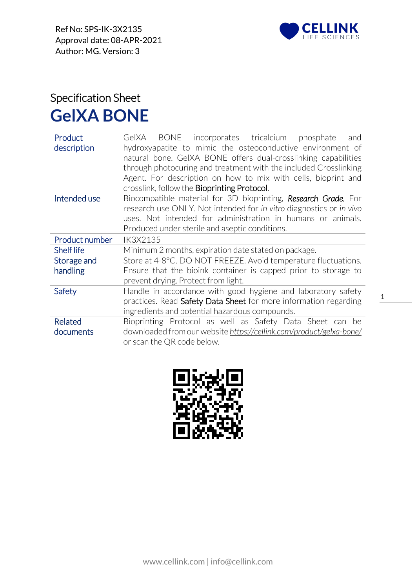

## Specification Sheet **GelXA BONE**

| Product<br>description      | incorporates tricalcium phosphate<br>BONE<br>GelXA<br>and<br>hydroxyapatite to mimic the osteoconductive environment of<br>natural bone. GeIXA BONE offers dual-crosslinking capabilities<br>through photocuring and treatment with the included Crosslinking<br>Agent. For description on how to mix with cells, bioprint and<br>crosslink, follow the <b>Bioprinting Protocol</b> . |  |  |
|-----------------------------|---------------------------------------------------------------------------------------------------------------------------------------------------------------------------------------------------------------------------------------------------------------------------------------------------------------------------------------------------------------------------------------|--|--|
| Intended use                | Biocompatible material for 3D bioprinting, Research Grade. For<br>research use ONLY. Not intended for in vitro diagnostics or in vivo<br>uses. Not intended for administration in humans or animals.<br>Produced under sterile and aseptic conditions.                                                                                                                                |  |  |
| Product number              | IK3X2135                                                                                                                                                                                                                                                                                                                                                                              |  |  |
| <b>Shelf life</b>           | Minimum 2 months, expiration date stated on package.                                                                                                                                                                                                                                                                                                                                  |  |  |
| Storage and<br>handling     | Store at 4-8°C. DO NOT FREEZE. Avoid temperature fluctuations.<br>Ensure that the bioink container is capped prior to storage to<br>prevent drying. Protect from light.                                                                                                                                                                                                               |  |  |
| Safety                      | Handle in accordance with good hygiene and laboratory safety<br>practices. Read Safety Data Sheet for more information regarding<br>ingredients and potential hazardous compounds.                                                                                                                                                                                                    |  |  |
| <b>Related</b><br>documents | Bioprinting Protocol as well as Safety Data Sheet can be<br>downloaded from our website https://cellink.com/product/gelxa-bone/<br>or scan the QR code below.                                                                                                                                                                                                                         |  |  |